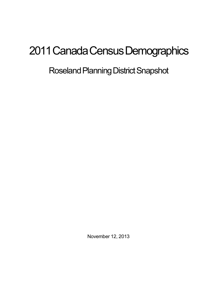# 2011 Canada Census Demographics

# Roseland Planning District Snapshot

November 12, 2013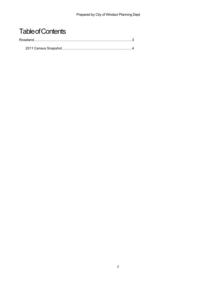## **Table of Contents**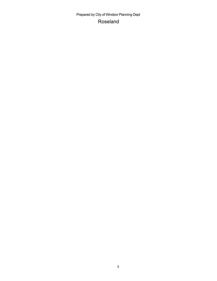Prepared by City of Windsor Planning Dept Roseland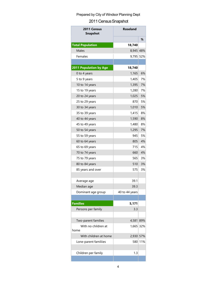### Prepared by City of Windsor Planning Dept

#### 2011 Census Snapshot

| 2011 Census<br><b>Snapshot</b> | <b>Roseland</b> |     |
|--------------------------------|-----------------|-----|
|                                |                 | %   |
| <b>Total Population</b>        | 18,740          |     |
| Males                          | 8,945 48%       |     |
| Females                        | 9,795           | 52% |
|                                |                 |     |
| <b>2011 Population by Age</b>  | 18,740          |     |
| 0 to 4 years                   | 1,165           | 6%  |
| 5 to 9 years                   | 1,405           | 7%  |
| 10 to 14 years                 | 1,395           | 7%  |
| 15 to 19 years                 | 1,280           | 7%  |
| 20 to 24 years                 | 1,025           | 5%  |
| 25 to 29 years                 | 870             | 5%  |
| 30 to 34 years                 | 1,010           | 5%  |
| 35 to 39 years                 | 1,415           | 8%  |
| 40 to 44 years                 | 1,590           | 8%  |
| 45 to 49 years                 | 1,480           | 8%  |
| 50 to 54 years                 | 1,295           | 7%  |
| 55 to 59 years                 | 945             | 5%  |
| 60 to 64 years                 | 805             | 4%  |
| 65 to 69 years                 | 715             | 4%  |
| 70 to 74 years                 | 660             | 4%  |
| 75 to 79 years                 | 565             | 3%  |
| 80 to 84 years                 | 510             | 3%  |
| 85 years and over              | 575             | 3%  |
|                                |                 |     |
| Average age                    | 39.1            |     |
| Median age                     | 39.3            |     |
| Dominant age group             | 40 to 44 years  |     |
|                                |                 |     |
| <b>Families</b>                | 5,171           |     |
| Persons per family             | 3.3             |     |
| Two-parent families            | 4,581           | 89% |
| With no children at            | 1,665           | 32% |
| home                           |                 |     |
| With children at home          | 2,930 57%       |     |
| Lone-parent familiies          | 5801            | 11% |
|                                |                 |     |
| Children per family            | 1.3             |     |
|                                |                 |     |